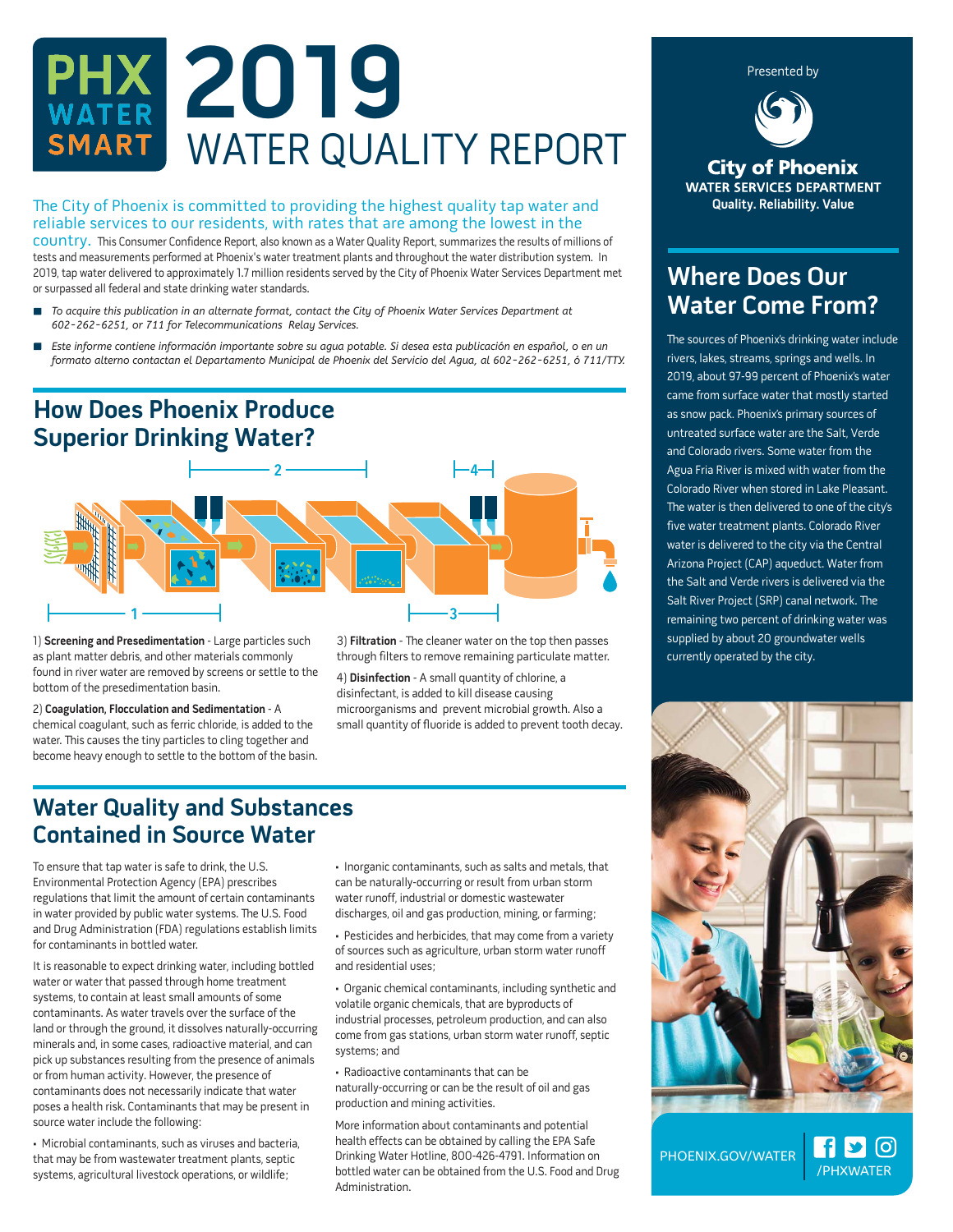# **2019** WATER QUALITY REPORT

#### The City of Phoenix is committed to providing the highest quality tap water and reliable services to our residents, with rates that are among the lowest in the

country. is Consumer Confidence Report, also known as a Water Quality Report, summarizes the results of millions of tests and measurements performed at Phoenix's water treatment plants and throughout the water distribution system. In 2019, tap water delivered to approximately 1.7 million residents served by the City of Phoenix Water Services Department met or surpassed all federal and state drinking water standards.

- *To acquire this publication in an alternate format, contact the City of Phoenix Water Services Department at 602-262-6251, or 711 for Telecommunications Relay Services.*
- *Este informe contiene información importante sobre su agua potable. Si desea esta publicación en español, o en un formato alterno contactan el Departamento Municipal de Phoenix del Servicio del Agua, al 602-262-6251, ó 711/TTY.*



1) **Screening and Presedimentation** - Large particles such as plant matter debris, and other materials commonly found in river water are removed by screens or settle to the bottom of the presedimentation basin.

2) **Coagulation, Flocculation and Sedimentation** - A chemical coagulant, such as ferric chloride, is added to the water. This causes the tiny particles to cling together and become heavy enough to settle to the bottom of the basin. 3) **Filtration** - The cleaner water on the top then passes through filters to remove remaining particulate matter.

4) **Disinfection** - A small quantity of chlorine, a disinfectant, is added to kill disease causing microorganisms and prevent microbial growth. Also a small quantity of fluoride is added to prevent tooth decay.

## **Water Quality and Substances Contained in Source Water**

To ensure that tap water is safe to drink, the U.S. Environmental Protection Agency (EPA) prescribes regulations that limit the amount of certain contaminants in water provided by public water systems. The U.S. Food and Drug Administration (FDA) regulations establish limits for contaminants in bottled water.

It is reasonable to expect drinking water, including bottled water or water that passed through home treatment systems, to contain at least small amounts of some contaminants. As water travels over the surface of the land or through the ground, it dissolves naturally-occurring minerals and, in some cases, radioactive material, and can pick up substances resulting from the presence of animals or from human activity. However, the presence of contaminants does not necessarily indicate that water poses a health risk. Contaminants that may be present in source water include the following:

• Microbial contaminants, such as viruses and bacteria, that may be from wastewater treatment plants, septic systems, agricultural livestock operations, or wildlife;

• Inorganic contaminants, such as salts and metals, that can be naturally-occurring or result from urban storm water runoff, industrial or domestic wastewater discharges, oil and gas production, mining, or farming;

• Pesticides and herbicides, that may come from a variety of sources such as agriculture, urban storm water runoff and residential uses;

• Organic chemical contaminants, including synthetic and volatile organic chemicals, that are byproducts of industrial processes, petroleum production, and can also come from gas stations, urban storm water runoff, septic systems; and

• Radioactive contaminants that can be naturally-occurring or can be the result of oil and gas production and mining activities.

More information about contaminants and potential health effects can be obtained by calling the EPA Safe Drinking Water Hotline, 800-426-4791. Information on bottled water can be obtained from the U.S. Food and Drug Administration.

**City of Phoenix WATER SERVICES DEPARTMENT** 

**Quality. Reliability. Value**

Presented by

# **Where Does Our Water Come From?**

The sources of Phoenix's drinking water include rivers, lakes, streams, springs and wells. In 2019, about 97-99 percent of Phoenix's water came from surface water that mostly started as snow pack. Phoenix's primary sources of untreated surface water are the Salt, Verde and Colorado rivers. Some water from the Agua Fria River is mixed with water from the Colorado River when stored in Lake Pleasant. The water is then delivered to one of the city's five water treatment plants. Colorado River water is delivered to the city via the Central Arizona Project (CAP) aqueduct. Water from the Salt and Verde rivers is delivered via the Salt River Project (SRP) canal network. The remaining two percent of drinking water was supplied by about 20 groundwater wells currently operated by the city.



/PHXWATER

<u>ြင</u>

PHOENIX.GOV/WATER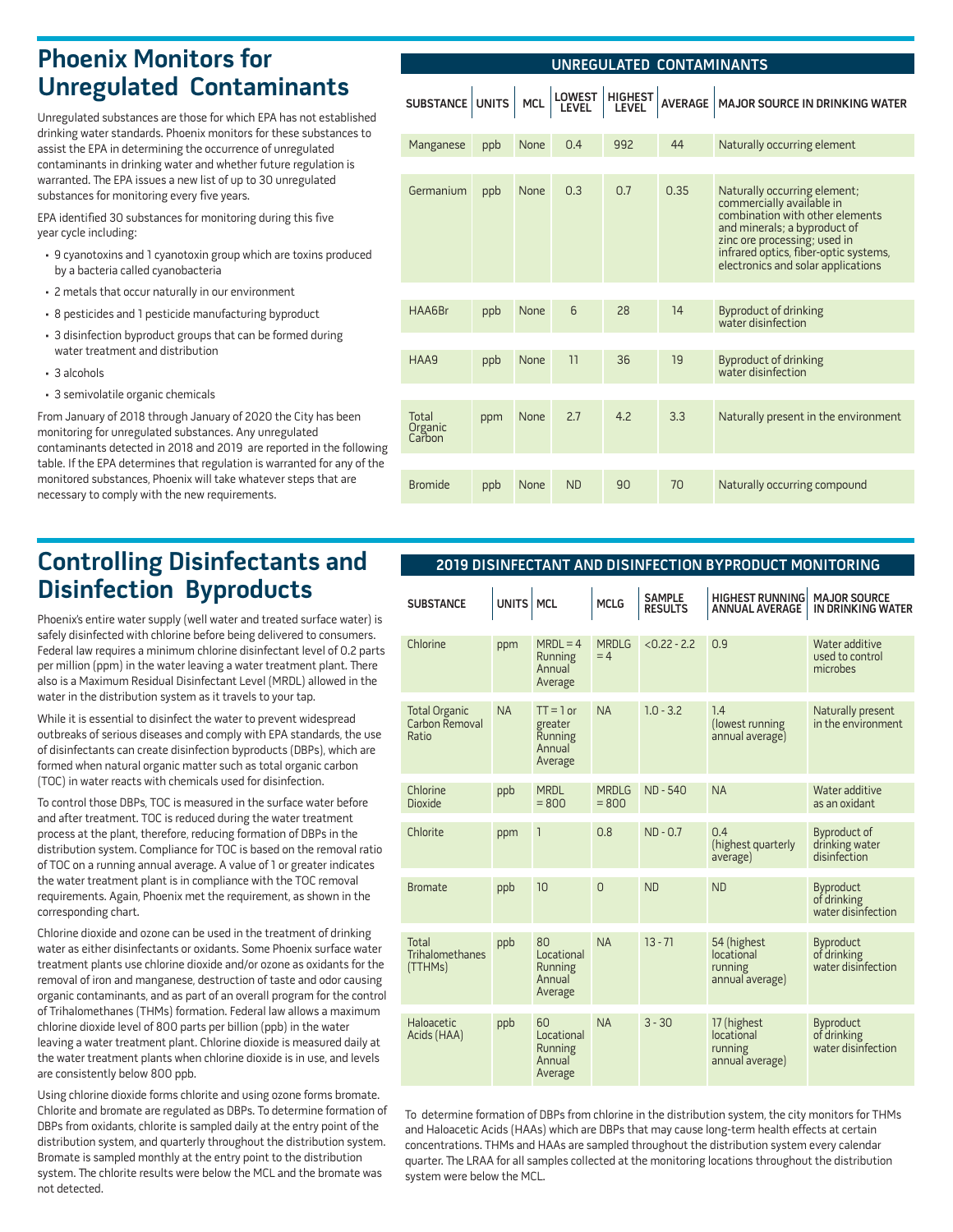## **Phoenix Monitors for Unregulated Contaminants**

Unregulated substances are those for which EPA has not established drinking water standards. Phoenix monitors for these substances to assist the EPA in determining the occurrence of unregulated contaminants in drinking water and whether future regulation is warranted. The EPA issues a new list of up to 30 unregulated substances for monitoring every five years.

EPA identified 30 substances for monitoring during this five year cycle including:

- 9 cyanotoxins and 1 cyanotoxin group which are toxins produced by a bacteria called cyanobacteria
- 2 metals that occur naturally in our environment
- 8 pesticides and 1 pesticide manufacturing byproduct
- 3 disinfection byproduct groups that can be formed during water treatment and distribution
- 3 alcohols
- 3 semivolatile organic chemicals

From January of 2018 through January of 2020 the City has been monitoring for unregulated substances. Any unregulated contaminants detected in 2018 and 2019 are reported in the following table. If the EPA determines that regulation is warranted for any of the monitored substances, Phoenix will take whatever steps that are necessary to comply with the new requirements.

# **Controlling Disinfectants and Disinfection Byproducts**

Phoenix's entire water supply (well water and treated surface water) is safely disinfected with chlorine before being delivered to consumers. Federal law requires a minimum chlorine disinfectant level of 0.2 parts per million (ppm) in the water leaving a water treatment plant. There also is a Maximum Residual Disinfectant Level (MRDL) allowed in the water in the distribution system as it travels to your tap.

While it is essential to disinfect the water to prevent widespread outbreaks of serious diseases and comply with EPA standards, the use of disinfectants can create disinfection byproducts (DBPs), which are formed when natural organic matter such as total organic carbon (TOC) in water reacts with chemicals used for disinfection.

To control those DBPs, TOC is measured in the surface water before and after treatment. TOC is reduced during the water treatment process at the plant, therefore, reducing formation of DBPs in the distribution system. Compliance for TOC is based on the removal ratio of TOC on a running annual average. A value of 1 or greater indicates the water treatment plant is in compliance with the TOC removal requirements. Again, Phoenix met the requirement, as shown in the corresponding chart.

Chlorine dioxide and ozone can be used in the treatment of drinking water as either disinfectants or oxidants. Some Phoenix surface water treatment plants use chlorine dioxide and/or ozone as oxidants for the removal of iron and manganese, destruction of taste and odor causing organic contaminants, and as part of an overall program for the control of Trihalomethanes (THMs) formation. Federal law allows a maximum chlorine dioxide level of 800 parts per billion (ppb) in the water leaving a water treatment plant. Chlorine dioxide is measured daily at the water treatment plants when chlorine dioxide is in use, and levels are consistently below 800 ppb.

Using chlorine dioxide forms chlorite and using ozone forms bromate. Chlorite and bromate are regulated as DBPs. To determine formation of DBPs from oxidants, chlorite is sampled daily at the entry point of the distribution system, and quarterly throughout the distribution system. Bromate is sampled monthly at the entry point to the distribution system. The chlorite results were below the MCL and the bromate was not detected.

| UNREGULATED CONTAMINANTS   |     |             |           |                  |                |                                                                                                                                                                                                                                             |  |  |
|----------------------------|-----|-------------|-----------|------------------|----------------|---------------------------------------------------------------------------------------------------------------------------------------------------------------------------------------------------------------------------------------------|--|--|
| SUBSTANCE UNITS            |     | <b>MCL</b>  | LOWEST    | HIGHEST<br>LEVEL | <b>AVERAGE</b> | MAJOR SOURCE IN DRINKING WATER                                                                                                                                                                                                              |  |  |
| Manganese                  | ppb | <b>None</b> | 0.4       | 992              | 44             | Naturally occurring element                                                                                                                                                                                                                 |  |  |
| Germanium                  | ppb | <b>None</b> | 0.3       | 0.7              | 0.35           | Naturally occurring element;<br>commercially available in<br>combination with other elements<br>and minerals; a byproduct of<br>zinc ore processing; used in<br>infrared optics, fiber-optic systems,<br>electronics and solar applications |  |  |
| HAA6Br                     | ppb | <b>None</b> | 6         | 28               | 14             | <b>Byproduct of drinking</b><br>water disinfection                                                                                                                                                                                          |  |  |
| HAA9                       | ppb | None        | 11        | 36               | 19             | <b>Byproduct of drinking</b><br>water disinfection                                                                                                                                                                                          |  |  |
| Total<br>Organic<br>Carbon | ppm | <b>None</b> | 2.7       | 4.2              | 3.3            | Naturally present in the environment                                                                                                                                                                                                        |  |  |
| <b>Bromide</b>             | ppb | <b>None</b> | <b>ND</b> | 90               | 70             | Naturally occurring compound                                                                                                                                                                                                                |  |  |

### **2019 DISINFECTANT AND DISINFECTION BYPRODUCT MONITORING**

| <b>SUBSTANCE</b>                                | UNITS MCL |                                                        | <b>MCLG</b>             | <b>SAMPLE</b><br><b>RESULTS</b> | <b>HIGHEST RUNNING</b><br><b>ANNUAL AVERAGE</b>         | <b>MAJOR SOURCE</b><br>IN DRINKING WATER              |
|-------------------------------------------------|-----------|--------------------------------------------------------|-------------------------|---------------------------------|---------------------------------------------------------|-------------------------------------------------------|
| Chlorine                                        | ppm       | $MRDL = 4$<br><b>Running</b><br>Annual<br>Average      | <b>MRDLG</b><br>$= 4$   | $< 0.22 - 2.2$                  | 0.9                                                     | Water additive<br>used to control<br>microbes         |
| <b>Total Organic</b><br>Carbon Removal<br>Ratio | <b>NA</b> | $TT = 1$ or<br>greater<br>Running<br>Annual<br>Average | <b>NA</b>               | $1.0 - 3.2$                     | 1.4<br>(lowest running<br>annual average)               | Naturally present<br>in the environment               |
| Chlorine<br><b>Dioxide</b>                      | ppb       | <b>MRDL</b><br>$= 800$                                 | <b>MRDLG</b><br>$= 800$ | <b>ND-540</b>                   | <b>NA</b>                                               | Water additive<br>as an oxidant                       |
| Chlorite                                        | ppm       | 1                                                      | 0.8                     | $ND - 0.7$                      | 0.4<br>(highest quarterly<br>average)                   | <b>Byproduct of</b><br>drinking water<br>disinfection |
| <b>Bromate</b>                                  | ppb       | 10                                                     | $\overline{0}$          | ND                              | <b>ND</b>                                               | Byproduct<br>of drinking<br>water disinfection        |
| Total<br>Trihalomethanes<br>(TTHMs)             | ppb       | 80<br>Locational<br>Running<br>Annual<br>Average       | <b>NA</b>               | $13 - 71$                       | 54 (highest<br>locational<br>running<br>annual average) | Byproduct<br>of drinking<br>water disinfection        |
| Haloacetic<br>Acids (HAA)                       | ppb       | 60<br>Locational<br>Running<br>Annual<br>Average       | <b>NA</b>               | $3 - 30$                        | 17 (highest<br>locational<br>running<br>annual average) | Byproduct<br>of drinking<br>water disinfection        |

To determine formation of DBPs from chlorine in the distribution system, the city monitors for THMs and Haloacetic Acids (HAAs) which are DBPs that may cause long-term health effects at certain concentrations. THMs and HAAs are sampled throughout the distribution system every calendar quarter. The LRAA for all samples collected at the monitoring locations throughout the distribution system were below the MCL.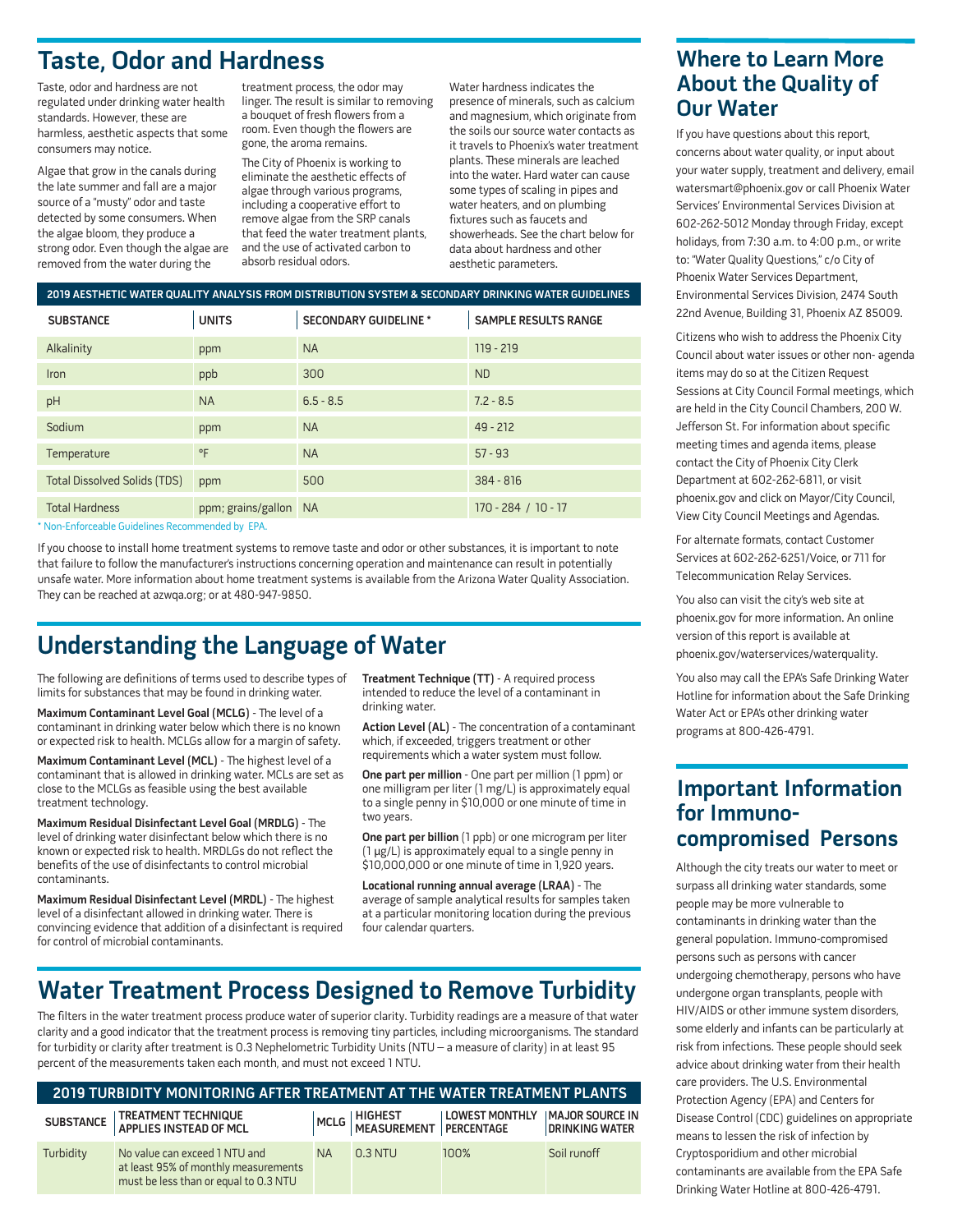# **Taste, Odor and Hardness**

Taste, odor and hardness are not regulated under drinking water health standards. However, these are harmless, aesthetic aspects that some consumers may notice.

Algae that grow in the canals during the late summer and fall are a major source of a "musty" odor and taste detected by some consumers. When the algae bloom, they produce a strong odor. Even though the algae are removed from the water during the

treatment process, the odor may linger. The result is similar to removing a bouquet of fresh flowers from a room. Even though the flowers are gone, the aroma remains.

The City of Phoenix is working to eliminate the aesthetic effects of algae through various programs, including a cooperative effort to remove algae from the SRP canals that feed the water treatment plants, and the use of activated carbon to absorb residual odors.

Water hardness indicates the presence of minerals, such as calcium and magnesium, which originate from the soils our source water contacts as it travels to Phoenix's water treatment plants. These minerals are leached into the water. Hard water can cause some types of scaling in pipes and water heaters, and on plumbing fixtures such as faucets and showerheads. See the chart below for data about hardness and other aesthetic parameters.

#### **2019 AESTHETIC WATER QUALITY ANALYSIS FROM DISTRIBUTION SYSTEM & SECONDARY DRINKING WATER GUIDELINES**

| <b>SUBSTANCE</b>                    | <b>UNITS</b>          | <b>SECONDARY GUIDELINE *</b> | <b>SAMPLE RESULTS RANGE</b> |
|-------------------------------------|-----------------------|------------------------------|-----------------------------|
| Alkalinity                          | ppm                   | <b>NA</b>                    | 119 - 219                   |
| <b>Iron</b>                         | ppb                   | 300                          | <b>ND</b>                   |
| pH                                  | <b>NA</b>             | $6.5 - 8.5$                  | $7.2 - 8.5$                 |
| Sodium                              | ppm                   | <b>NA</b>                    | $49 - 212$                  |
| Temperature                         | °F                    | <b>NA</b>                    | $57 - 93$                   |
| <b>Total Dissolved Solids (TDS)</b> | ppm                   | 500                          | $384 - 816$                 |
| <b>Total Hardness</b>               | ppm; grains/gallon NA |                              | $170 - 284 / 10 - 17$       |

\* Non-Enforceable Guidelines Recommended by EPA.

If you choose to install home treatment systems to remove taste and odor or other substances, it is important to note that failure to follow the manufacturer's instructions concerning operation and maintenance can result in potentially unsafe water. More information about home treatment systems is available from the Arizona Water Quality Association. They can be reached at azwqa.org; or at 480-947-9850.

## **Understanding the Language of Water**

The following are definitions of terms used to describe types of limits for substances that may be found in drinking water.

**Maximum Contaminant Level Goal (MCLG)** - The level of a contaminant in drinking water below which there is no known or expected risk to health. MCLGs allow for a margin of safety.

Maximum Contaminant Level (MCL) - The highest level of a contaminant that is allowed in drinking water. MCLs are set as close to the MCLGs as feasible using the best available treatment technology.

**Maximum Residual Disinfectant Level Goal (MRDLG)** - The level of drinking water disinfectant below which there is no known or expected risk to health. MRDLGs do not reflect the benefits of the use of disinfectants to control microbial contaminants.

Maximum Residual Disinfectant Level (MRDL) - The highest level of a disinfectant allowed in drinking water. There is convincing evidence that addition of a disinfectant is required for control of microbial contaminants.

**Treatment Technique (TT)** - A required process intended to reduce the level of a contaminant in drinking water.

Action Level (AL) - The concentration of a contaminant which, if exceeded, triggers treatment or other requirements which a water system must follow.

**One part per million** - One part per million (1 ppm) or one milligram per liter (1 mg/L) is approximately equal to a single penny in \$10,000 or one minute of time in two years.

**One part per billion** (1 ppb) or one microgram per liter (1 µg/L) is approximately equal to a single penny in \$10,000,000 or one minute of time in 1,920 years.

**Locational running annual average (LRAA)** - The average of sample analytical results for samples taken at a particular monitoring location during the previous four calendar quarters.

## **Water Treatment Process Designed to Remove Turbidity**

The filters in the water treatment process produce water of superior clarity. Turbidity readings are a measure of that water clarity and a good indicator that the treatment process is removing tiny particles, including microorganisms. The standard for turbidity or clarity after treatment is 0.3 Nephelometric Turbidity Units (NTU – a measure of clarity) in at least 95 percent of the measurements taken each month, and must not exceed 1 NTU.

| 2019 TURBIDITY MONITORING AFTER TREATMENT AT THE WATER TREATMENT PLANTS |                                                                                                                |           |                           |                       |                                           |  |  |  |  |
|-------------------------------------------------------------------------|----------------------------------------------------------------------------------------------------------------|-----------|---------------------------|-----------------------|-------------------------------------------|--|--|--|--|
|                                                                         | SUBSTANCE   TREATMENT TECHNIQUE<br>  APPLIES INSTEAD OF MCL                                                    |           | MCLG HIGHEST   LOWEST MON | <b>LOWEST MONTHLY</b> | <b>IMAJOR SOURCE IN</b><br>DRINKING WATER |  |  |  |  |
| Turbidity                                                               | No value can exceed 1 NTU and<br>at least 95% of monthly measurements<br>must be less than or equal to 0.3 NTU | <b>NA</b> | $0.3$ NTU                 | 100%                  | Soil runoff                               |  |  |  |  |

## **Where to Learn More About the Quality of Our Water**

If you have questions about this report, concerns about water quality, or input about your water supply, treatment and delivery, email watersmart@phoenix.gov or call Phoenix Water Services' Environmental Services Division at 602-262-5012 Monday through Friday, except holidays, from 7:30 a.m. to 4:00 p.m., or write to: "Water Quality Questions," c/o City of Phoenix Water Services Department, Environmental Services Division, 2474 South 22nd Avenue, Building 31, Phoenix AZ 85009.

Citizens who wish to address the Phoenix City Council about water issues or other non- agenda items may do so at the Citizen Request Sessions at City Council Formal meetings, which are held in the City Council Chambers, 200 W. Jefferson St. For information about specific meeting times and agenda items, please contact the City of Phoenix City Clerk Department at 602-262-6811, or visit phoenix.gov and click on Mayor/City Council, View City Council Meetings and Agendas.

For alternate formats, contact Customer Services at 602-262-6251/Voice, or 711 for Telecommunication Relay Services.

You also can visit the city's web site at phoenix.gov for more information. An online version of this report is available at phoenix.gov/waterservices/waterquality.

You also may call the EPA's Safe Drinking Water Hotline for information about the Safe Drinking Water Act or EPA's other drinking water programs at 800-426-4791.

#### **Important Information for Immunocompromised Persons**

Although the city treats our water to meet or surpass all drinking water standards, some people may be more vulnerable to contaminants in drinking water than the general population. Immuno-compromised persons such as persons with cancer undergoing chemotherapy, persons who have undergone organ transplants, people with HIV/AIDS or other immune system disorders, some elderly and infants can be particularly at risk from infections. These people should seek advice about drinking water from their health care providers. The U.S. Environmental Protection Agency (EPA) and Centers for Disease Control (CDC) guidelines on appropriate means to lessen the risk of infection by Cryptosporidium and other microbial contaminants are available from the EPA Safe Drinking Water Hotline at 800-426-4791.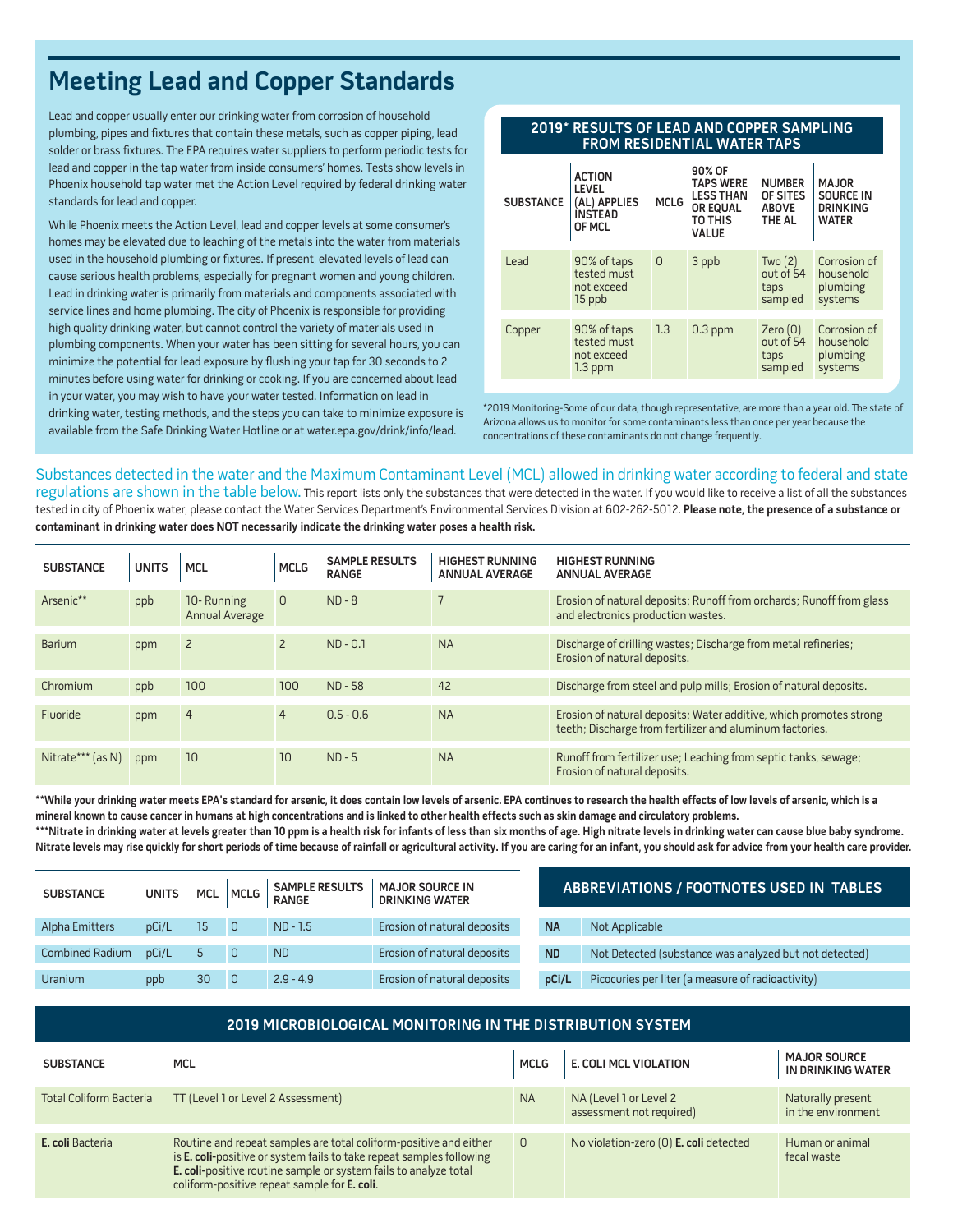# **Meeting Lead and Copper Standards**

Lead and copper usually enter our drinking water from corrosion of household plumbing, pipes and fixtures that contain these metals, such as copper piping, lead solder or brass fixtures. The EPA requires water suppliers to perform periodic tests for lead and copper in the tap water from inside consumers' homes. Tests show levels in Phoenix household tap water met the Action Level required by federal drinking water standards for lead and copper.

While Phoenix meets the Action Level, lead and copper levels at some consumer's homes may be elevated due to leaching of the metals into the water from materials used in the household plumbing or fixtures. If present, elevated levels of lead can cause serious health problems, especially for pregnant women and young children. Lead in drinking water is primarily from materials and components associated with service lines and home plumbing. The city of Phoenix is responsible for providing high quality drinking water, but cannot control the variety of materials used in plumbing components. When your water has been sitting for several hours, you can minimize the potential for lead exposure by flushing your tap for 30 seconds to 2 minutes before using water for drinking or cooking. If you are concerned about lead in your water, you may wish to have your water tested. Information on lead in drinking water, testing methods, and the steps you can take to minimize exposure is available from the Safe Drinking Water Hotline or at water.epa.gov/drink/info/lead.

#### **2019\* RESULTS OF LEAD AND COPPER SAMPLING FROM RESIDENTIAL WATER TAPS**

| <b>SUBSTANCE</b> | <b>ACTION</b><br><b>LEVEL</b><br>(AL) APPLIES<br><b>INSTEAD</b><br>OF MCL | <b>MCLG</b> | 90% OF<br><b>TAPS WERE</b><br><b>LESS THAN</b><br><b>OR EQUAL</b><br>TO THIS<br><b>VALUE</b> | <b>NUMBER</b><br>OF SITES<br><b>ABOVE</b><br>THE AL | <b>MAJOR</b><br><b>SOURCE IN</b><br><b>DRINKING</b><br><b>WATER</b> |
|------------------|---------------------------------------------------------------------------|-------------|----------------------------------------------------------------------------------------------|-----------------------------------------------------|---------------------------------------------------------------------|
| Lead             | 90% of taps<br>tested must<br>not exceed<br>15 ppb                        | $\circ$     | 3 ppb                                                                                        | Two $(2)$<br>out of 54<br>taps<br>sampled           | Corrosion of<br>household<br>plumbing<br>systems                    |
| Copper           | 90% of taps<br>tested must<br>not exceed<br>$1.3$ ppm                     | 1.3         | $0.3$ ppm                                                                                    | Zero(0)<br>out of 54<br>taps<br>sampled             | Corrosion of<br>household<br>plumbing<br>systems                    |

\*2019 Monitoring-Some of our data, though representative, are more than a year old. The state of Arizona allows us to monitor for some contaminants less than once per year because the concentrations of these contaminants do not change frequently.

#### Substances detected in the water and the Maximum Contaminant Level (MCL) allowed in drinking water according to federal and state

regulations are shown in the table below. This report lists only the substances that were detected in the water. If you would like to receive a list of all the substances tested in city of Phoenix water, please contact the Water Services Department's Environmental Services Division at 602-262-5012. **Please note, the presence of a substance or contaminant in drinking water does NOT necessarily indicate the drinking water poses a health risk.**

| <b>SUBSTANCE</b>  | <b>UNITS</b> | <b>MCL</b>                   | <b>MCLG</b>    | <b>SAMPLE RESULTS</b><br><b>RANGE</b> | <b>HIGHEST RUNNING</b><br><b>ANNUAL AVERAGE</b> | <b>HIGHEST RUNNING</b><br><b>ANNUAL AVERAGE</b>                                                                                |
|-------------------|--------------|------------------------------|----------------|---------------------------------------|-------------------------------------------------|--------------------------------------------------------------------------------------------------------------------------------|
| Arsenic**         | ppb          | 10-Running<br>Annual Average | $\mathbf{0}$   | $ND - 8$                              |                                                 | Erosion of natural deposits; Runoff from orchards; Runoff from glass<br>and electronics production wastes.                     |
| <b>Barium</b>     | ppm          |                              | $\overline{2}$ | $ND - 0.1$                            | <b>NA</b>                                       | Discharge of drilling wastes; Discharge from metal refineries;<br>Erosion of natural deposits.                                 |
| Chromium          | ppb          | 100                          | 100            | $ND - 58$                             | 42                                              | Discharge from steel and pulp mills; Erosion of natural deposits.                                                              |
| Fluoride          | ppm          | $\overline{4}$               | $\overline{4}$ | $0.5 - 0.6$                           | <b>NA</b>                                       | Erosion of natural deposits; Water additive, which promotes strong<br>teeth; Discharge from fertilizer and aluminum factories. |
| Nitrate*** (as N) | ppm          | 10                           | 10             | $ND - 5$                              | <b>NA</b>                                       | Runoff from fertilizer use; Leaching from septic tanks, sewage;<br>Erosion of natural deposits.                                |

**\*\*While your drinking water meets EPA's standard for arsenic, it does contain low levels of arsenic. EPA continues to research the health effects of low levels of arsenic, which is a mineral known to cause cancer in humans at high concentrations and is linked to other health effects such as skin damage and circulatory problems.**

\*\*\*Nitrate in drinking water at levels greater than 10 ppm is a health risk for infants of less than six months of age. High nitrate levels in drinking water can cause blue baby syndrome. **Nitrate levels may rise quickly for short periods of time because of rainfall or agricultural activity. If you are caring for an infant, you should ask for advice from your health care provider.**

| <b>SUBSTANCE</b> | <b>UNITS</b> |    | MCL MCLG       | <b>SAMPLE RESULTS</b><br>RANGE | <b>MAJOR SOURCE IN</b><br><b>DRINKING WATER</b> | ABBREVIATIONS / FOOTNOTES USED IN TABLES |                                                        |  |
|------------------|--------------|----|----------------|--------------------------------|-------------------------------------------------|------------------------------------------|--------------------------------------------------------|--|
| Alpha Emitters   | pCi/L        | 15 | $\overline{0}$ | $ND - 1.5$                     | Erosion of natural deposits                     | <b>NA</b>                                | Not Applicable                                         |  |
| Combined Radium  | pCi/L        |    |                | <b>ND</b>                      | Erosion of natural deposits                     | <b>ND</b>                                | Not Detected (substance was analyzed but not detected) |  |
| Uranium          | ppb          | 30 | 0              | $2.9 - 4.9$                    | Erosion of natural deposits                     | pCi/L                                    | Picocuries per liter (a measure of radioactivity)      |  |

| 2019 MICROBIOLOGICAL MONITORING IN THE DISTRIBUTION SYSTEM |                                                                                                                                                                                                                                                               |             |                                                    |                                          |  |  |  |  |  |
|------------------------------------------------------------|---------------------------------------------------------------------------------------------------------------------------------------------------------------------------------------------------------------------------------------------------------------|-------------|----------------------------------------------------|------------------------------------------|--|--|--|--|--|
| <b>SUBSTANCE</b>                                           | <b>MCL</b>                                                                                                                                                                                                                                                    | <b>MCLG</b> | <b>E. COLI MCL VIOLATION</b>                       | <b>MAJOR SOURCE</b><br>IN DRINKING WATER |  |  |  |  |  |
| <b>Total Coliform Bacteria</b>                             | TT (Level 1 or Level 2 Assessment)                                                                                                                                                                                                                            | <b>NA</b>   | NA (Level 1 or Level 2<br>assessment not required) | Naturally present<br>in the environment  |  |  |  |  |  |
| E. coli Bacteria                                           | Routine and repeat samples are total coliform-positive and either<br>is E. coli-positive or system fails to take repeat samples following<br>E. coli-positive routine sample or system fails to analyze total<br>coliform-positive repeat sample for E. coli. | $\Omega$    | No violation-zero (0) <b>E. coli</b> detected      | Human or animal<br>fecal waste           |  |  |  |  |  |